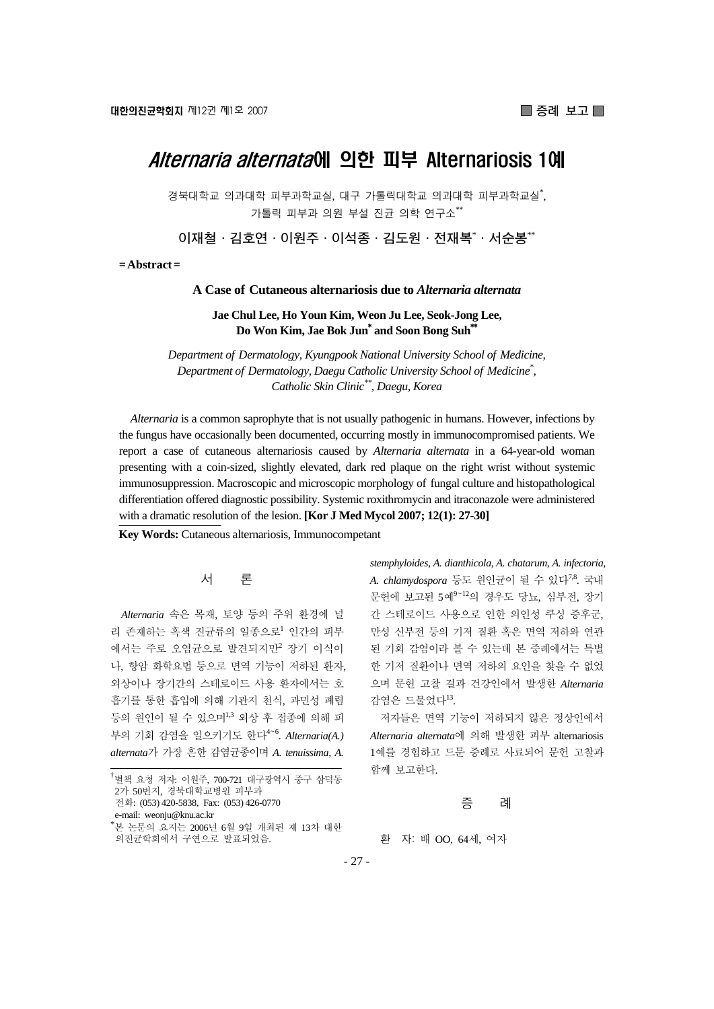# Alternaria alternata에 의한 피부 Alternariosis 1예

경북대학교 의과대학 피부과학교실, 대구 가톨릭대학교 의과대학 피부과학교실<sup>\*</sup>, 가톨릭 피부과 의원 부설 진균 의학 연구소\*\*

**이재철·김호연·이원주·이석종·김도원·전재복**\* **·서순봉**\*\*

**= Abstract =** 

#### **A Case of Cutaneous alternariosis due to** *Alternaria alternata*

**Jae Chul Lee, Ho Youn Kim, Weon Ju Lee, Seok-Jong Lee, Do Won Kim, Jae Bok Jun**\*  **and Soon Bong Suh**\*\*

*Department of Dermatology, Kyungpook National University School of Medicine, Department of Dermatology, Daegu Catholic University School of Medicine\* , Catholic Skin Clinic\*\*, Daegu, Korea* 

*Alternaria* is a common saprophyte that is not usually pathogenic in humans. However, infections by the fungus have occasionally been documented, occurring mostly in immunocompromised patients. We report a case of cutaneous alternariosis caused by *Alternaria alternata* in a 64-year-old woman presenting with a coin-sized, slightly elevated, dark red plaque on the right wrist without systemic immunosuppression. Macroscopic and microscopic morphology of fungal culture and histopathological differentiation offered diagnostic possibility. Systemic roxithromycin and itraconazole were administered with a dramatic resolution of the lesion. **[Kor J Med Mycol 2007; 12(1): 27-30]**

**Key Words:** Cutaneous alternariosis, Immunocompetant

#### 서 론

*Alternaria* 속은 목재, 토양 등의 주위 환경에 널 리 존재하는 흑색 진균류의 일종으로<sup>1</sup> 인간의 피부 에서는 주로 오염균으로 발견되지만<sup>2</sup> 장기 이식이 나, 항암 화학요법 등으로 면역 기능이 저하된 환자, 외상이나 장기간의 스테로이드 사용 환자에서는 호 흡기를 통한 흡입에 의해 기관지 천식, 과민성 폐렴 등의 원인이 될 수 있으며1,3 외상 후 접종에 의해 피 부의 기회 감염을 일으키기도 한다<sup>4</sup>~<sup>6</sup> . *Alternaria(A.) alternata*가 가장 흔한 감염균종이며 *A. tenuissima*, *A.* 

*stemphyloides*, *A. dianthicola*, *A. chatarum*, *A. infectoria*, *A. chlamydospora* 등도 원인균이 될 수 있다7,8. 국내 문헌에 보고된 5예<sup>9</sup>~<sup>12</sup>의 경우도 당뇨, 심부전, 장기 간 스테로이드 사용으로 인한 의인성 쿠싱 증후군, 만성 신부전 등의 기저 질환 혹은 면역 저하와 연관 된 기회 감염이라 볼 수 있는데 본 증례에서는 특별 한 기저 질환이나 면역 저하의 요인을 찾을 수 없었 으며 문헌 고찰 결과 건강인에서 발생한 *Alternaria* 감염은 드물었다13.

저자들은 면역 기능이 저하되지 않은 정상인에서 *Alternaria alternata*에 의해 발생한 피부 alternariosis 1예를 경험하고 드문 증례로 사료되어 문헌 고찰과 함께 보고한다.

#### 증 례

환 자: 배 OO, 64세, 여자

<sup>.&</sup>lt;br><sup>†</sup>별책 요청 저자: 이원주, 700-721 대구광역시 중구 삼덕동 2가 50번지, 경북대학교병원 피부과 전화: (053) 420-5838, Fax: (053) 426-0770 e-mail: weonju@knu.ac.kr

<sup>\*</sup> 본 논문의 요지는 2006년 6월 9일 개최된 제 13차 대한 의진균학회에서 구연으로 발표되었음.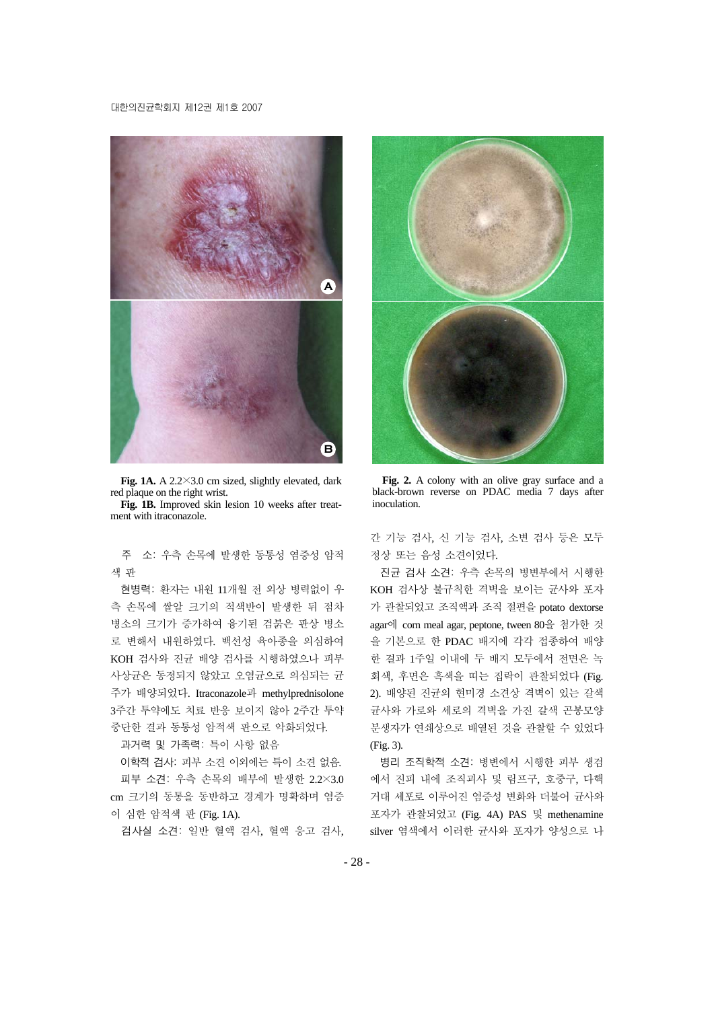#### 대한의진균학회지 제12권 제1호 2007



**Fig. 1A.** A 2.2×3.0 cm sized, slightly elevated, dark red plaque on the right wrist.

**Fig. 1B.** Improved skin lesion 10 weeks after treatment with itraconazole.

주 소: 우측 손목에 발생한 동통성 염증성 암적 색 판

현병력: 환자는 내원 11개월 전 외상 병력없이 우 측 손목에 쌀알 크기의 적색반이 발생한 뒤 점차 병소의 크기가 증가하여 융기된 검붉은 판상 병소 로 변해서 내원하였다. 백선성 육아종을 의심하여 KOH 검사와 진균 배양 검사를 시행하였으나 피부 사상균은 동정되지 않았고 오염균으로 의심되는 균 주가 배양되었다. Itraconazole과 methylprednisolone 3주간 투약에도 치료 반응 보이지 않아 2주간 투약 중단한 결과 동통성 암적색 판으로 악화되었다.

과거력 및 가족력: 특이 사항 없음

이학적 검사: 피부 소견 이외에는 특이 소견 없음. 피부 소견: 우측 손목의 배부에 발생한 2.2×3.0 cm 크기의 동통을 동반하고 경계가 명확하며 염증 이 심한 암적색 판 (Fig. 1A).

검사실 소견: 일반 혈액 검사, 혈액 응고 검사,



**Fig. 2.** A colony with an olive gray surface and a black-brown reverse on PDAC media 7 days after inoculation.

간 기능 검사, 신 기능 검사, 소변 검사 등은 모두 정상 또는 음성 소견이었다.

진균 검사 소견: 우측 손목의 병변부에서 시행한 KOH 검사상 불규칙한 격벽을 보이는 균사와 포자 가 관찰되었고 조직액과 조직 절편을 potato dextorse agar에 corn meal agar, peptone, tween 80을 첨가한 것 을 기본으로 한 PDAC 배지에 각각 접종하여 배양 한 결과 1주일 이내에 두 배지 모두에서 전면은 녹 회색, 후면은 흑색을 띠는 집락이 관찰되었다 (Fig. 2). 배양된 진균의 현미경 소견상 격벽이 있는 갈색 균사와 가로와 세로의 격벽을 가진 갈색 곤봉모양 분생자가 연쇄상으로 배열된 것을 관찰할 수 있었다 (Fig. 3).

병리 조직학적 소견: 병변에서 시행한 피부 생검 에서 진피 내에 조직괴사 및 림프구, 호중구, 다핵 거대 세포로 이루어진 염증성 변화와 더불어 균사와 포자가 관찰되었고 (Fig. 4A) PAS 및 methenamine silver 염색에서 이러한 균사와 포자가 양성으로 나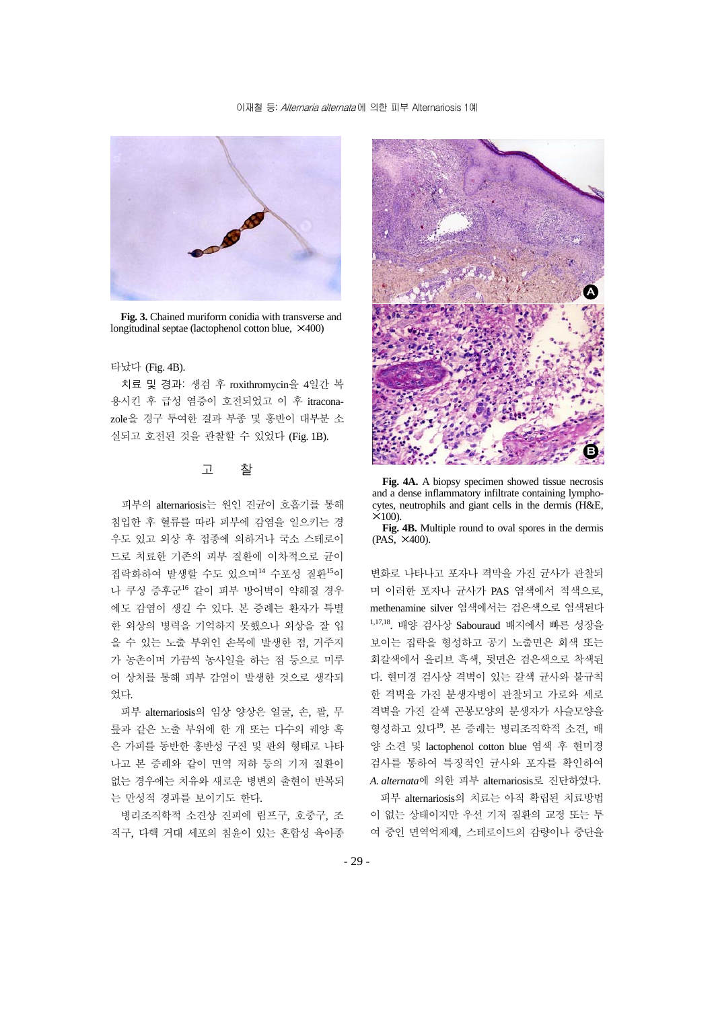

**Fig. 3.** Chained muriform conidia with transverse and longitudinal septae (lactophenol cotton blue, ×400)

#### 타났다 (Fig. 4B).

치료 및 경과: 생검 후 roxithromycin을 4일간 복 용시킨 후 급성 염증이 호전되었고 이 후 itraconazole을 경구 투여한 결과 부종 및 홍반이 대부분 소 실되고 호전된 것을 관찰할 수 있었다 (Fig. 1B).

### 고 찰

피부의 alternariosis는 원인 진균이 호흡기를 통해 침입한 후 혈류를 따라 피부에 감염을 일으키는 경 우도 있고 외상 후 접종에 의하거나 국소 스테로이 드로 치료한 기존의 피부 질환에 이차적으로 균이 집락화하여 발생할 수도 있으며<sup>14</sup> 수포성 질환<sup>15</sup>이 나 쿠싱 증후군<sup>16</sup> 같이 피부 방어벽이 약해질 경우 에도 감염이 생길 수 있다. 본 증례는 환자가 특별 한 외상의 병력을 기억하지 못했으나 외상을 잘 입 을 수 있는 노출 부위인 손목에 발생한 점, 거주지 가 농촌이며 가끔씩 농사일을 하는 점 등으로 미루 어 상처를 통해 피부 감염이 발생한 것으로 생각되 었다.

피부 alternariosis의 임상 양상은 얼굴, 손, 팔, 무 릎과 같은 노출 부위에 한 개 또는 다수의 궤양 혹 은 가피를 동반한 홍반성 구진 및 판의 형태로 나타 나고 본 증례와 같이 면역 저하 등의 기저 질환이 없는 경우에는 치유와 새로운 병변의 출현이 반복되 는 만성적 경과를 보이기도 한다.

병리조직학적 소견상 진피에 림프구, 호중구, 조 직구, 다핵 거대 세포의 침윤이 있는 혼합성 육아종



**Fig. 4A.** A biopsy specimen showed tissue necrosis and a dense inflammatory infiltrate containing lymphocytes, neutrophils and giant cells in the dermis (H&E,  $\times$ 100).

**Fig. 4B.** Multiple round to oval spores in the dermis (PAS, ×400).

변화로 나타나고 포자나 격막을 가진 균사가 관찰되 며 이러한 포자나 균사가 PAS 염색에서 적색으로, methenamine silver 염색에서는 검은색으로 염색된다 1,17,18. 배양 검사상 Sabouraud 배지에서 빠른 성장을 보이는 집락을 형성하고 공기 노출면은 회색 또는 회갈색에서 올리브 흑색, 뒷면은 검은색으로 착색된 다. 현미경 검사상 격벽이 있는 갈색 균사와 불규칙 한 격벽을 가진 분생자병이 관찰되고 가로와 세로 격벽을 가진 갈색 곤봉모양의 분생자가 사슬모양을 형성하고 있다19. 본 증례는 병리조직학적 소견, 배 양 소견 및 lactophenol cotton blue 염색 후 현미경 검사를 통하여 특징적인 균사와 포자를 확인하여 *A. alternata*에 의한 피부 alternariosis로 진단하였다.

피부 alternariosis의 치료는 아직 확립된 치료방법 이 없는 상태이지만 우선 기저 질환의 교정 또는 투 여 중인 면역억제제, 스테로이드의 감량이나 중단을